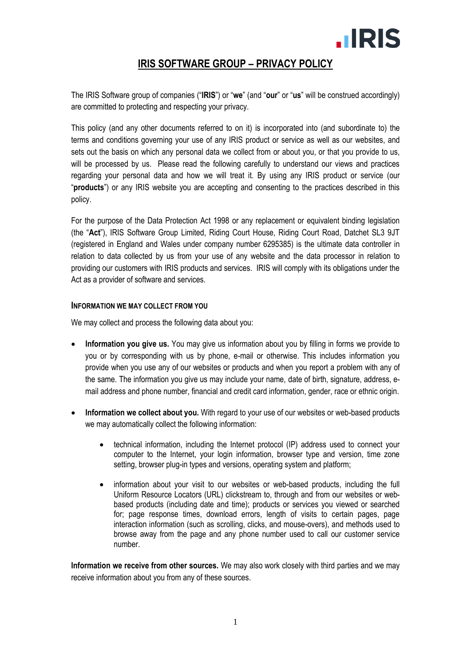# **.IRIS**

# **IRIS SOFTWARE GROUP – PRIVACY POLICY**

The IRIS Software group of companies ("**IRIS**") or "**we**" (and "**our**" or "**us**" will be construed accordingly) are committed to protecting and respecting your privacy.

This policy (and any other documents referred to on it) is incorporated into (and subordinate to) the terms and conditions governing your use of any IRIS product or service as well as our websites, and sets out the basis on which any personal data we collect from or about you, or that you provide to us, will be processed by us. Please read the following carefully to understand our views and practices regarding your personal data and how we will treat it. By using any IRIS product or service (our "**products**") or any IRIS website you are accepting and consenting to the practices described in this policy.

For the purpose of the Data Protection Act 1998 or any replacement or equivalent binding legislation (the "**Act**"), IRIS Software Group Limited, Riding Court House, Riding Court Road, Datchet SL3 9JT (registered in England and Wales under company number 6295385) is the ultimate data controller in relation to data collected by us from your use of any website and the data processor in relation to providing our customers with IRIS products and services. IRIS will comply with its obligations under the Act as a provider of software and services.

#### **INFORMATION WE MAY COLLECT FROM YOU**

We may collect and process the following data about you:

- **Information you give us.** You may give us information about you by filling in forms we provide to you or by corresponding with us by phone, e-mail or otherwise. This includes information you provide when you use any of our websites or products and when you report a problem with any of the same. The information you give us may include your name, date of birth, signature, address, email address and phone number, financial and credit card information, gender, race or ethnic origin.
- **Information we collect about you.** With regard to your use of our websites or web-based products we may automatically collect the following information:
	- technical information, including the Internet protocol (IP) address used to connect your computer to the Internet, your login information, browser type and version, time zone setting, browser plug-in types and versions, operating system and platform;
	- information about your visit to our websites or web-based products, including the full Uniform Resource Locators (URL) clickstream to, through and from our websites or webbased products (including date and time); products or services you viewed or searched for; page response times, download errors, length of visits to certain pages, page interaction information (such as scrolling, clicks, and mouse-overs), and methods used to browse away from the page and any phone number used to call our customer service number.

**Information we receive from other sources.** We may also work closely with third parties and we may receive information about you from any of these sources.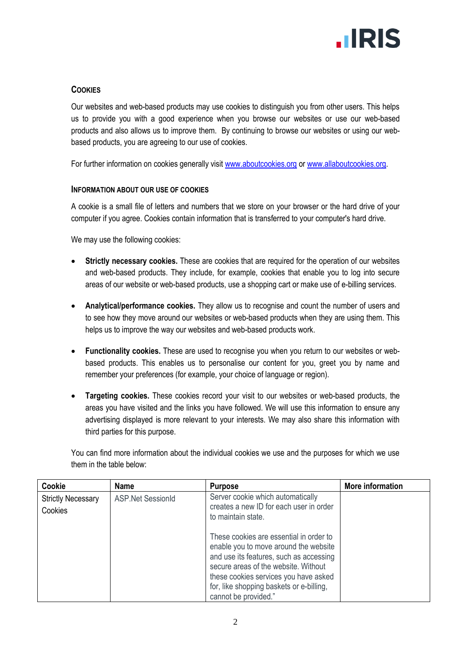

## **COOKIES**

Our websites and web-based products may use cookies to distinguish you from other users. This helps us to provide you with a good experience when you browse our websites or use our web-based products and also allows us to improve them. By continuing to browse our websites or using our webbased products, you are agreeing to our use of cookies.

For further information on cookies generally visit [www.aboutcookies.org](http://www.aboutcookies.org/) or [www.allaboutcookies.org.](http://www.allaboutcookies.org/)

#### **INFORMATION ABOUT OUR USE OF COOKIES**

A cookie is a small file of letters and numbers that we store on your browser or the hard drive of your computer if you agree. Cookies contain information that is transferred to your computer's hard drive.

We may use the following cookies:

- **Strictly necessary cookies.** These are cookies that are required for the operation of our websites and web-based products. They include, for example, cookies that enable you to log into secure areas of our website or web-based products, use a shopping cart or make use of e-billing services.
- **Analytical/performance cookies.** They allow us to recognise and count the number of users and to see how they move around our websites or web-based products when they are using them. This helps us to improve the way our websites and web-based products work.
- **Functionality cookies.** These are used to recognise you when you return to our websites or webbased products. This enables us to personalise our content for you, greet you by name and remember your preferences (for example, your choice of language or region).
- **Targeting cookies.** These cookies record your visit to our websites or web-based products, the areas you have visited and the links you have followed. We will use this information to ensure any advertising displayed is more relevant to your interests. We may also share this information with third parties for this purpose.

You can find more information about the individual cookies we use and the purposes for which we use them in the table below:

| Cookie                               | <b>Name</b>              | <b>Purpose</b>                                                                                                                                                                                                                                                                   | More information |
|--------------------------------------|--------------------------|----------------------------------------------------------------------------------------------------------------------------------------------------------------------------------------------------------------------------------------------------------------------------------|------------------|
| <b>Strictly Necessary</b><br>Cookies | <b>ASP.Net SessionId</b> | Server cookie which automatically<br>creates a new ID for each user in order<br>to maintain state.                                                                                                                                                                               |                  |
|                                      |                          | These cookies are essential in order to<br>enable you to move around the website<br>and use its features, such as accessing<br>secure areas of the website. Without<br>these cookies services you have asked<br>for, like shopping baskets or e-billing,<br>cannot be provided." |                  |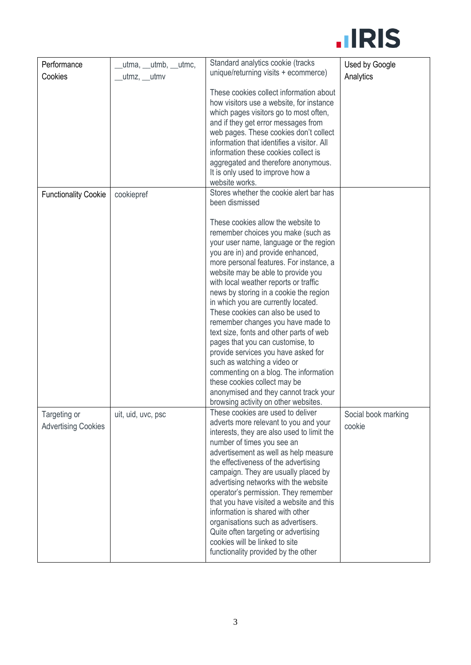

| Performance                 | _utma, __utmb, __utmc, | Standard analytics cookie (tracks                                                                                                                                                                                                                                                                                                                                                                                                                                                                                                                                                                                                                                                                                                                           | Used by Google      |
|-----------------------------|------------------------|-------------------------------------------------------------------------------------------------------------------------------------------------------------------------------------------------------------------------------------------------------------------------------------------------------------------------------------------------------------------------------------------------------------------------------------------------------------------------------------------------------------------------------------------------------------------------------------------------------------------------------------------------------------------------------------------------------------------------------------------------------------|---------------------|
| Cookies                     | _utmz, __utmv          | unique/returning visits + ecommerce)                                                                                                                                                                                                                                                                                                                                                                                                                                                                                                                                                                                                                                                                                                                        | Analytics           |
|                             |                        | These cookies collect information about<br>how visitors use a website, for instance<br>which pages visitors go to most often,<br>and if they get error messages from<br>web pages. These cookies don't collect<br>information that identifies a visitor. All<br>information these cookies collect is<br>aggregated and therefore anonymous.<br>It is only used to improve how a<br>website works.                                                                                                                                                                                                                                                                                                                                                           |                     |
| <b>Functionality Cookie</b> | cookiepref             | Stores whether the cookie alert bar has                                                                                                                                                                                                                                                                                                                                                                                                                                                                                                                                                                                                                                                                                                                     |                     |
|                             |                        | been dismissed                                                                                                                                                                                                                                                                                                                                                                                                                                                                                                                                                                                                                                                                                                                                              |                     |
|                             |                        | These cookies allow the website to<br>remember choices you make (such as<br>your user name, language or the region<br>you are in) and provide enhanced,<br>more personal features. For instance, a<br>website may be able to provide you<br>with local weather reports or traffic<br>news by storing in a cookie the region<br>in which you are currently located.<br>These cookies can also be used to<br>remember changes you have made to<br>text size, fonts and other parts of web<br>pages that you can customise, to<br>provide services you have asked for<br>such as watching a video or<br>commenting on a blog. The information<br>these cookies collect may be<br>anonymised and they cannot track your<br>browsing activity on other websites. |                     |
| Targeting or                | uit, uid, uvc, psc     | These cookies are used to deliver                                                                                                                                                                                                                                                                                                                                                                                                                                                                                                                                                                                                                                                                                                                           | Social book marking |
| <b>Advertising Cookies</b>  |                        | adverts more relevant to you and your<br>interests, they are also used to limit the<br>number of times you see an<br>advertisement as well as help measure<br>the effectiveness of the advertising<br>campaign. They are usually placed by<br>advertising networks with the website<br>operator's permission. They remember<br>that you have visited a website and this<br>information is shared with other<br>organisations such as advertisers.<br>Quite often targeting or advertising<br>cookies will be linked to site<br>functionality provided by the other                                                                                                                                                                                          | cookie              |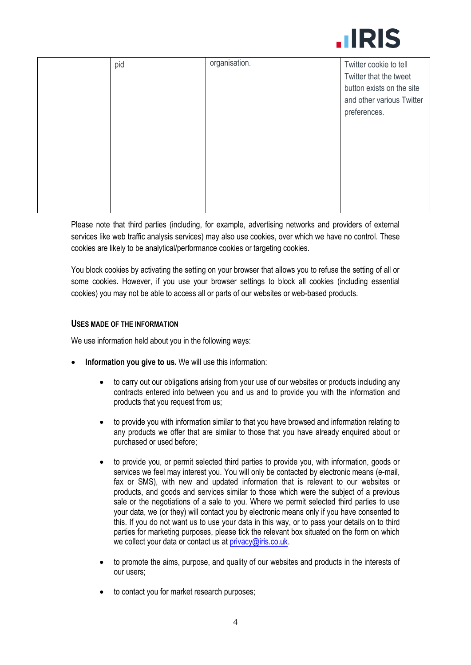

| pid | organisation. | Twitter cookie to tell<br>Twitter that the tweet       |
|-----|---------------|--------------------------------------------------------|
|     |               | button exists on the site<br>and other various Twitter |
|     |               | preferences.                                           |
|     |               |                                                        |
|     |               |                                                        |
|     |               |                                                        |
|     |               |                                                        |

Please note that third parties (including, for example, advertising networks and providers of external services like web traffic analysis services) may also use cookies, over which we have no control. These cookies are likely to be analytical/performance cookies or targeting cookies.

You block cookies by activating the setting on your browser that allows you to refuse the setting of all or some cookies. However, if you use your browser settings to block all cookies (including essential cookies) you may not be able to access all or parts of our websites or web-based products.

#### **USES MADE OF THE INFORMATION**

We use information held about you in the following ways:

- **Information you give to us.** We will use this information:
	- to carry out our obligations arising from your use of our websites or products including any contracts entered into between you and us and to provide you with the information and products that you request from us;
	- to provide you with information similar to that you have browsed and information relating to any products we offer that are similar to those that you have already enquired about or purchased or used before;
	- to provide you, or permit selected third parties to provide you, with information, goods or services we feel may interest you. You will only be contacted by electronic means (e-mail, fax or SMS), with new and updated information that is relevant to our websites or products, and goods and services similar to those which were the subject of a previous sale or the negotiations of a sale to you. Where we permit selected third parties to use your data, we (or they) will contact you by electronic means only if you have consented to this. If you do not want us to use your data in this way, or to pass your details on to third parties for marketing purposes, please tick the relevant box situated on the form on which we collect your data or contact us at [privacy@iris.co.uk.](mailto:privacy@iris.co.uk)
	- to promote the aims, purpose, and quality of our websites and products in the interests of our users;
	- to contact you for market research purposes;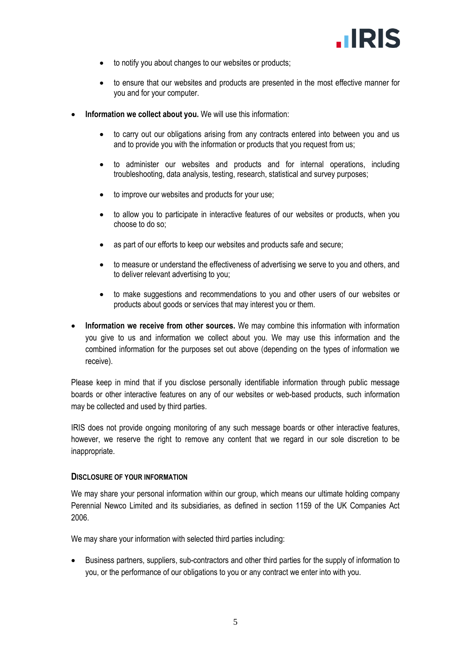

- to notify you about changes to our websites or products;
- to ensure that our websites and products are presented in the most effective manner for you and for your computer.
- **Information we collect about you.** We will use this information:
	- to carry out our obligations arising from any contracts entered into between you and us and to provide you with the information or products that you request from us;
	- to administer our websites and products and for internal operations, including troubleshooting, data analysis, testing, research, statistical and survey purposes;
	- to improve our websites and products for your use;
	- to allow you to participate in interactive features of our websites or products, when you choose to do so;
	- as part of our efforts to keep our websites and products safe and secure;
	- to measure or understand the effectiveness of advertising we serve to you and others, and to deliver relevant advertising to you;
	- to make suggestions and recommendations to you and other users of our websites or products about goods or services that may interest you or them.
- **Information we receive from other sources.** We may combine this information with information you give to us and information we collect about you. We may use this information and the combined information for the purposes set out above (depending on the types of information we receive).

Please keep in mind that if you disclose personally identifiable information through public message boards or other interactive features on any of our websites or web-based products, such information may be collected and used by third parties.

IRIS does not provide ongoing monitoring of any such message boards or other interactive features, however, we reserve the right to remove any content that we regard in our sole discretion to be inappropriate.

#### **DISCLOSURE OF YOUR INFORMATION**

We may share your personal information within our group, which means our ultimate holding company Perennial Newco Limited and its subsidiaries, as defined in section 1159 of the UK Companies Act 2006.

We may share your information with selected third parties including:

 Business partners, suppliers, sub-contractors and other third parties for the supply of information to you, or the performance of our obligations to you or any contract we enter into with you.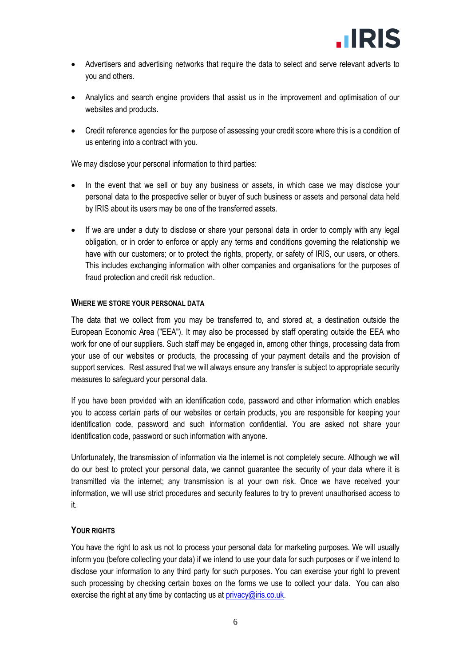- Advertisers and advertising networks that require the data to select and serve relevant adverts to you and others.
- Analytics and search engine providers that assist us in the improvement and optimisation of our websites and products.
- Credit reference agencies for the purpose of assessing your credit score where this is a condition of us entering into a contract with you.

We may disclose your personal information to third parties:

- In the event that we sell or buy any business or assets, in which case we may disclose your personal data to the prospective seller or buyer of such business or assets and personal data held by IRIS about its users may be one of the transferred assets.
- If we are under a duty to disclose or share your personal data in order to comply with any legal obligation, or in order to enforce or apply any terms and conditions governing the relationship we have with our customers; or to protect the rights, property, or safety of IRIS, our users, or others. This includes exchanging information with other companies and organisations for the purposes of fraud protection and credit risk reduction.

#### **WHERE WE STORE YOUR PERSONAL DATA**

The data that we collect from you may be transferred to, and stored at, a destination outside the European Economic Area ("EEA"). It may also be processed by staff operating outside the EEA who work for one of our suppliers. Such staff may be engaged in, among other things, processing data from your use of our websites or products, the processing of your payment details and the provision of support services. Rest assured that we will always ensure any transfer is subject to appropriate security measures to safeguard your personal data.

If you have been provided with an identification code, password and other information which enables you to access certain parts of our websites or certain products, you are responsible for keeping your identification code, password and such information confidential. You are asked not share your identification code, password or such information with anyone.

Unfortunately, the transmission of information via the internet is not completely secure. Although we will do our best to protect your personal data, we cannot guarantee the security of your data where it is transmitted via the internet; any transmission is at your own risk. Once we have received your information, we will use strict procedures and security features to try to prevent unauthorised access to it.

#### **YOUR RIGHTS**

You have the right to ask us not to process your personal data for marketing purposes. We will usually inform you (before collecting your data) if we intend to use your data for such purposes or if we intend to disclose your information to any third party for such purposes. You can exercise your right to prevent such processing by checking certain boxes on the forms we use to collect your data. You can also exercise the right at any time by contacting us at  $\frac{\text{privacy}}{\text{Q}$  iris.co.uk.